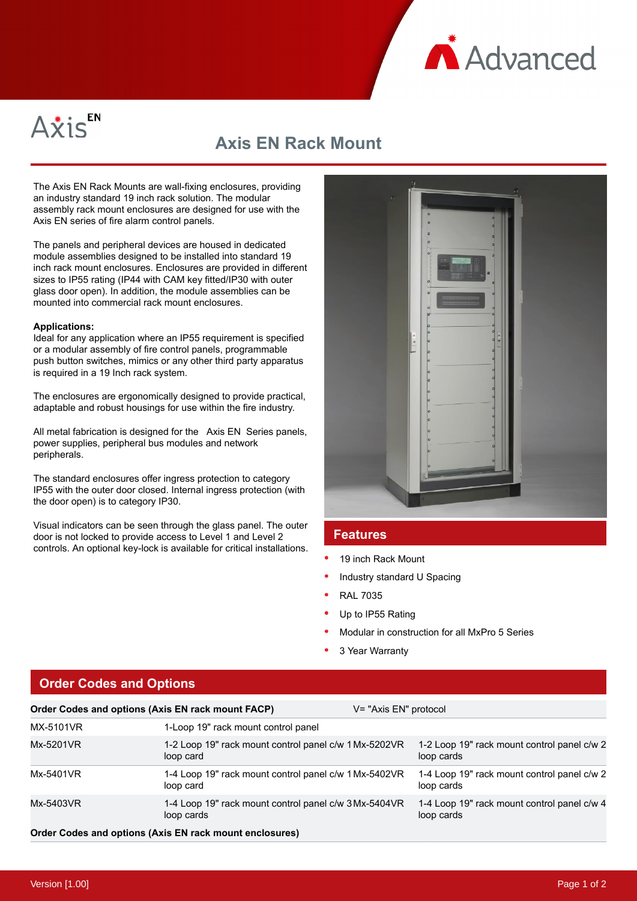



## **Axis EN Rack Mount**

The Axis EN Rack Mounts are wall-fixing enclosures, providing an industry standard 19 inch rack solution. The modular assembly rack mount enclosures are designed for use with the Axis EN series of fire alarm control panels.

The panels and peripheral devices are housed in dedicated module assemblies designed to be installed into standard 19 inch rack mount enclosures. Enclosures are provided in different sizes to IP55 rating (IP44 with CAM key fitted/IP30 with outer glass door open). In addition, the module assemblies can be mounted into commercial rack mount enclosures.

## **Applications:**

Ideal for any application where an IP55 requirement is specified or a modular assembly of fire control panels, programmable push button switches, mimics or any other third party apparatus is required in a 19 Inch rack system.

The enclosures are ergonomically designed to provide practical, adaptable and robust housings for use within the fire industry.

All metal fabrication is designed for the Axis EN Series panels, power supplies, peripheral bus modules and network peripherals.

The standard enclosures offer ingress protection to category IP55 with the outer door closed. Internal ingress protection (with the door open) is to category IP30.

Visual indicators can be seen through the glass panel. The outer door is not locked to provide access to Level 1 and Level 2 controls. An optional key-lock is available for critical installations.



## **Features**

- 19 inch Rack Mount
- Industry standard U Spacing
- RAL 7035
- Up to IP55 Rating
- Modular in construction for all MxPro 5 Series
- 3 Year Warranty

|  |  |  | <b>Order Codes and Options</b> |
|--|--|--|--------------------------------|

| Order Codes and options (Axis EN rack mount FACP) |                                                                     | V= "Axis EN" protocol |                                                           |  |
|---------------------------------------------------|---------------------------------------------------------------------|-----------------------|-----------------------------------------------------------|--|
| MX-5101VR                                         | 1-Loop 19" rack mount control panel                                 |                       |                                                           |  |
| Mx-5201VR                                         | 1-2 Loop 19" rack mount control panel c/w 1 Mx-5202VR<br>loop card  |                       | 1-2 Loop 19" rack mount control panel c/w 2<br>loop cards |  |
| Mx-5401VR                                         | 1-4 Loop 19" rack mount control panel c/w 1 Mx-5402VR<br>loop card  |                       | 1-4 Loop 19" rack mount control panel c/w 2<br>loop cards |  |
| Mx-5403VR                                         | 1-4 Loop 19" rack mount control panel c/w 3 Mx-5404VR<br>loop cards |                       | 1-4 Loop 19" rack mount control panel c/w 4<br>loop cards |  |
|                                                   | Order Codes and options (Axis EN rack mount enclosures)             |                       |                                                           |  |